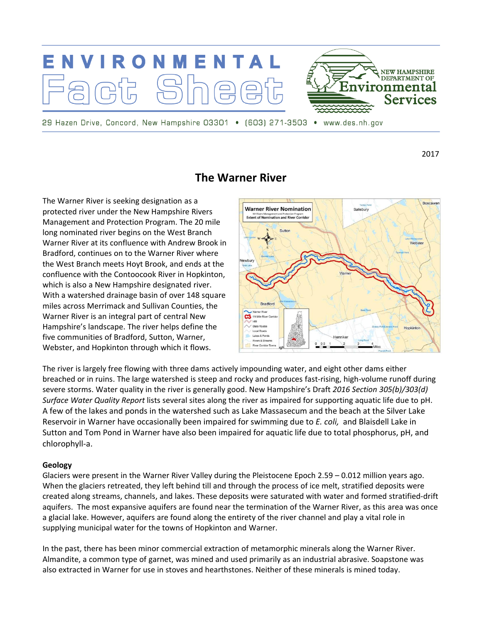

2017

# **The Warner River**

The Warner River is seeking designation as a protected river under the New Hampshire Rivers Management and Protection Program. The 20 mile long nominated river begins on the West Branch Warner River at its confluence with Andrew Brook in Bradford, continues on to the Warner River where the West Branch meets Hoyt Brook, and ends at the confluence with the Contoocook River in Hopkinton, which is also a New Hampshire designated river. With a watershed drainage basin of over 148 square miles across Merrimack and Sullivan Counties, the Warner River is an integral part of central New Hampshire's landscape. The river helps define the five communities of Bradford, Sutton, Warner, Webster, and Hopkinton through which it flows.



The river is largely free flowing with three dams actively impounding water, and eight other dams either breached or in ruins. The large watershed is steep and rocky and produces fast-rising, high-volume runoff during severe storms. Water quality in the river is generally good. New Hampshire's Draft *2016 Section 305(b)/303(d) Surface Water Quality Report* lists several sites along the river as impaired for supporting aquatic life due to pH. A few of the lakes and ponds in the watershed such as Lake Massasecum and the beach at the Silver Lake Reservoir in Warner have occasionally been impaired for swimming due to *E. coli,* and Blaisdell Lake in Sutton and Tom Pond in Warner have also been impaired for aquatic life due to total phosphorus, pH, and chlorophyll-a.

#### **Geology**

Glaciers were present in the Warner River Valley during the Pleistocene Epoch 2.59 – 0.012 million years ago. When the glaciers retreated, they left behind till and through the process of ice melt, stratified deposits were created along streams, channels, and lakes. These deposits were saturated with water and formed stratified-drift aquifers. The most expansive aquifers are found near the termination of the Warner River, as this area was once a glacial lake. However, aquifers are found along the entirety of the river channel and play a vital role in supplying municipal water for the towns of Hopkinton and Warner.

In the past, there has been minor commercial extraction of metamorphic minerals along the Warner River. Almandite, a common type of garnet, was mined and used primarily as an industrial abrasive. Soapstone was also extracted in Warner for use in stoves and hearthstones. Neither of these minerals is mined today.